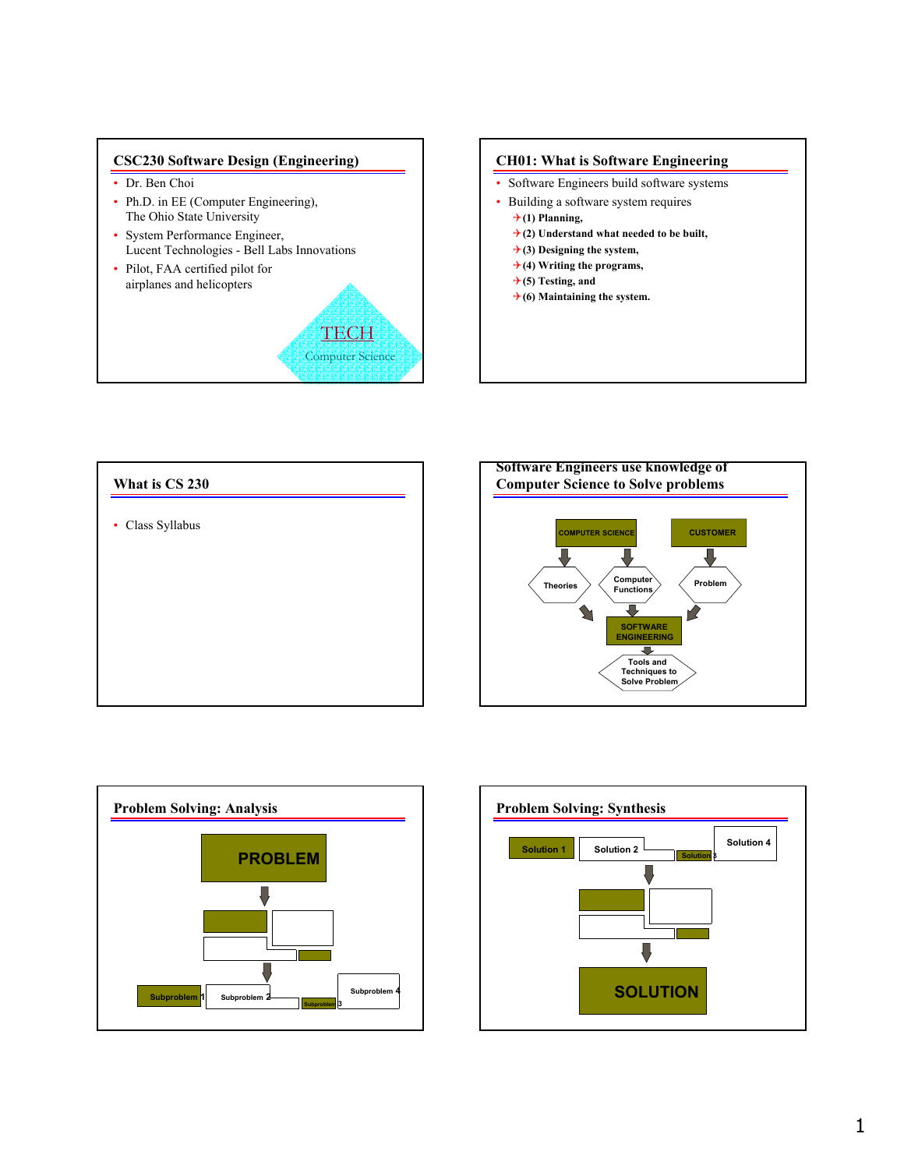# **CSC230 Software Design (Engineering)**

- Dr. Ben Choi
- Ph.D. in EE (Computer Engineering), The Ohio State University
- System Performance Engineer, Lucent Technologies - Bell Labs Innovations

**TECH** Computer Science

• Pilot, FAA certified pilot for airplanes and helicopters









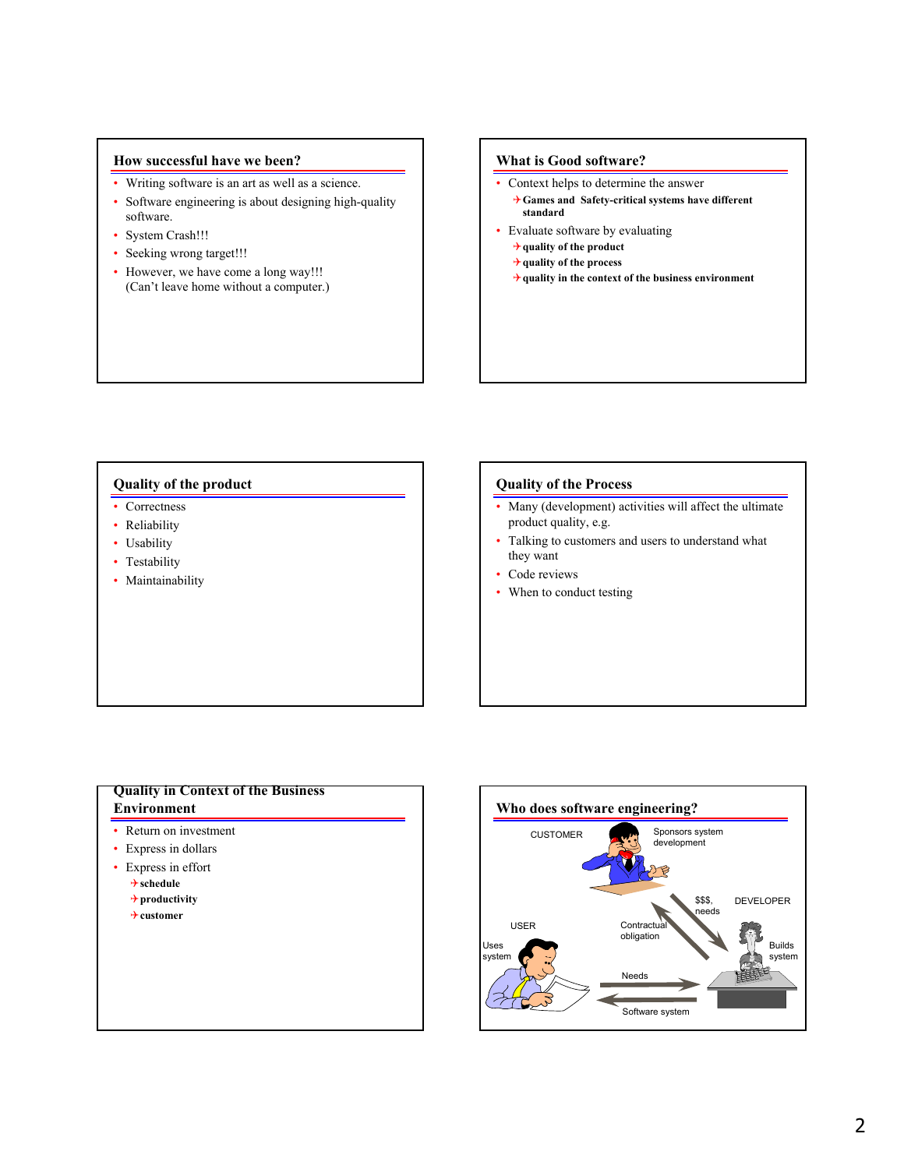# **How successful have we been?**

- Writing software is an art as well as a science.
- Software engineering is about designing high-quality software.
- System Crash!!!
- Seeking wrong target!!!
- However, we have come a long way!!! (Can't leave home without a computer.)

## **What is Good software?**

- Context helps to determine the answer
	- 4**Games and Safety-critical systems have different standard**
- Evaluate software by evaluating
	- 4**quality of the product**
	- 4**quality of the process**
	- 4**quality in the context of the business environment**

## **Quality of the product**

- Correctness
- Reliability
- Usability
- Testability
- Maintainability

### **Quality of the Process**

- Many (development) activities will affect the ultimate product quality, e.g.
- Talking to customers and users to understand what they want
- Code reviews
- When to conduct testing

# **Quality in Context of the Business Environment**

- Return on investment
- Express in dollars
- Express in effort
	- 4**schedule**
	- 4**productivity**
	- 4**customer**

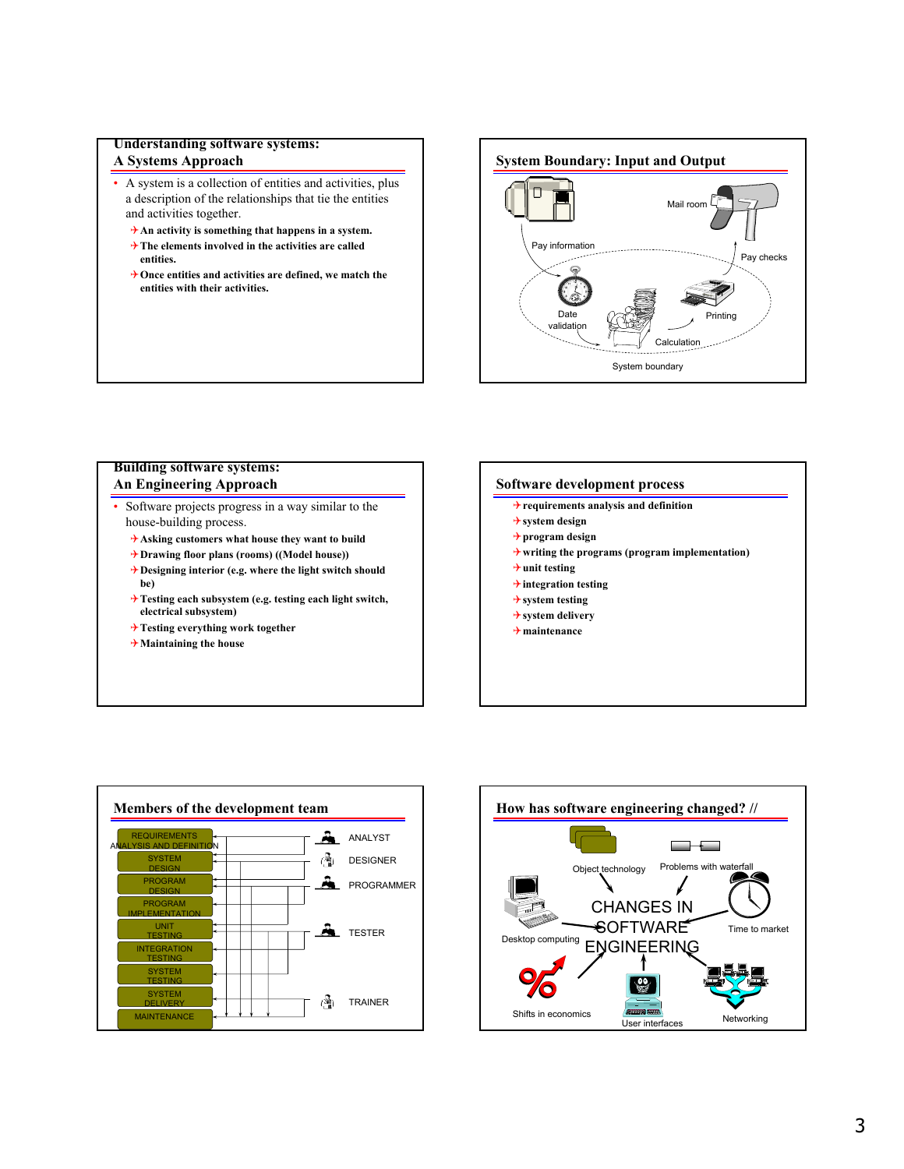# **Understanding software systems:**

# **A Systems Approach**

- A system is a collection of entities and activities, plus a description of the relationships that tie the entities and activities together.
	- 4**An activity is something that happens in a system.**
	- 4**The elements involved in the activities are called entities.**
	- 4**Once entities and activities are defined, we match the entities with their activities.**



# **Building software systems: An Engineering Approach**

- Software projects progress in a way similar to the house-building process.
	- 4**Asking customers what house they want to build**
	- 4**Drawing floor plans (rooms) ((Model house))**
	- 4**Designing interior (e.g. where the light switch should be)**
	- 4**Testing each subsystem (e.g. testing each light switch, electrical subsystem)**
	- 4**Testing everything work together**
	- 4**Maintaining the house**

### **Software development process**

- 4**requirements analysis and definition**
- 4**system design**
- 4**program design**
- 4**writing the programs (program implementation)**
- 4**unit testing**
- 4**integration testing**
- 4**system testing**
- 4**system delivery**
- 4**maintenance**



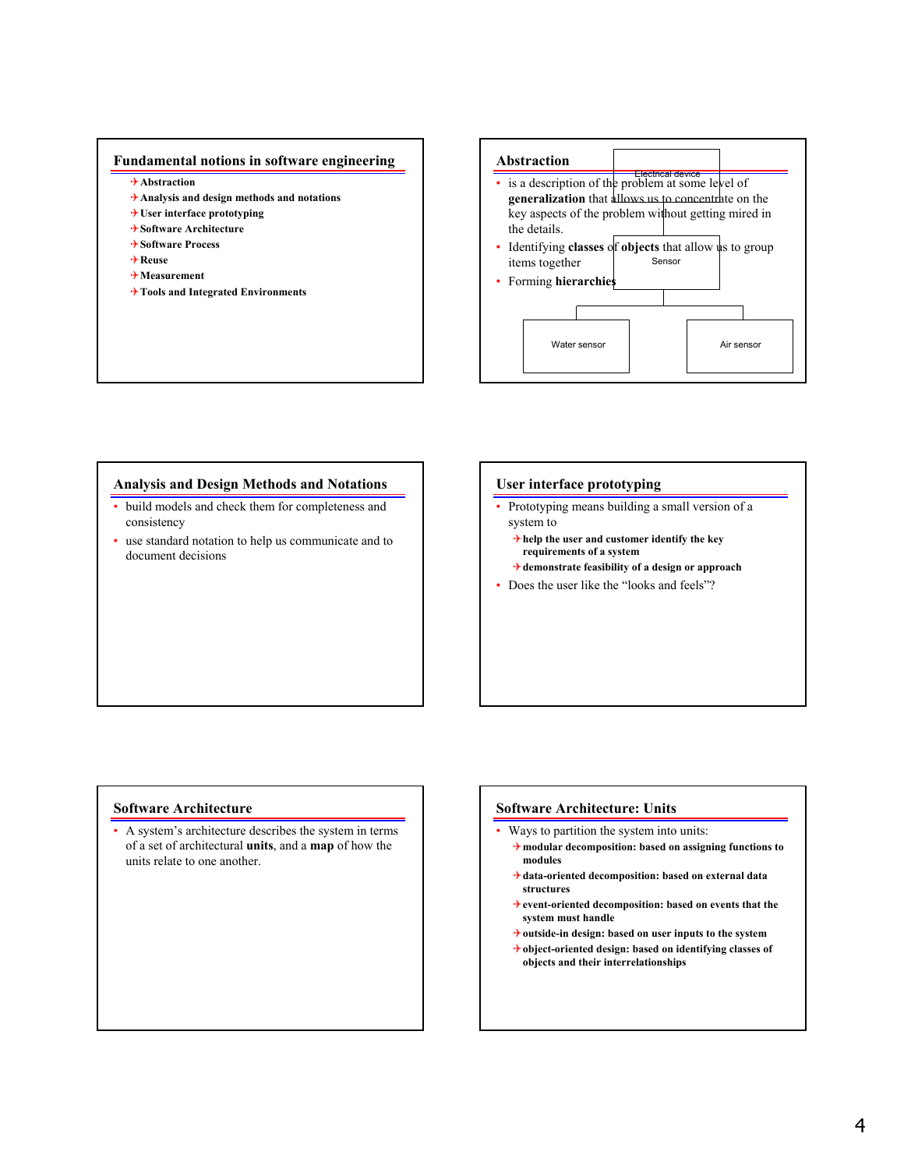# **Fundamental notions in software engineering**

- 4**Abstraction**
- 4**Analysis and design methods and notations**
- 4**User interface prototyping**
- 4**Software Architecture**
- 4**Software Process**
- 4**Reuse**
- 4**Measurement**
- 4**Tools and Integrated Environments**

# **Abstraction** • is a description of the problem at some level of Sensor Water sensor **Air sensor** Air sensor **generalization** that allows us to concentrate on the key aspects of the problem without getting mired in the details. • Identifying **classes** of **objects** that allow us to group items together • Forming **hierarchies**

## **Analysis and Design Methods and Notations**

- build models and check them for completeness and consistency
- use standard notation to help us communicate and to document decisions

### **User interface prototyping**

- Prototyping means building a small version of a system to
	- 4**help the user and customer identify the key requirements of a system**
	- 4**demonstrate feasibility of a design or approach**
- Does the user like the "looks and feels"?

### **Software Architecture**

• A system's architecture describes the system in terms of a set of architectural **units**, and a **map** of how the units relate to one another.

### **Software Architecture: Units**

- Ways to partition the system into units:
	- 4**modular decomposition: based on assigning functions to modules**
	- 4**data-oriented decomposition: based on external data structures**
	- 4**event-oriented decomposition: based on events that the system must handle**
	- 4**outside-in design: based on user inputs to the system**
	- 4**object-oriented design: based on identifying classes of objects and their interrelationships**